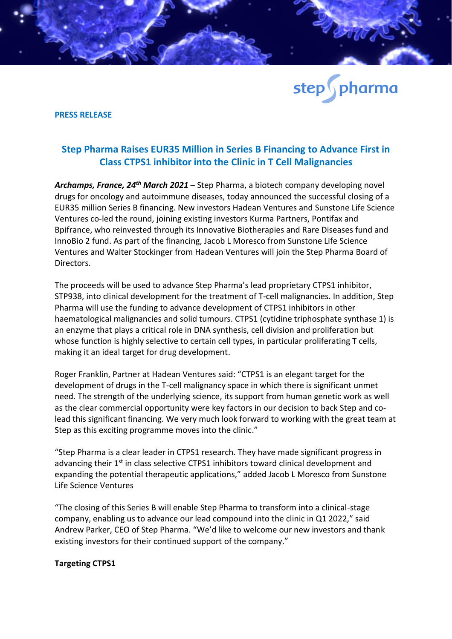

## **PRESS RELEASE**

## **Step Pharma Raises EUR35 Million in Series B Financing to Advance First in Class CTPS1 inhibitor into the Clinic in T Cell Malignancies**

*Archamps, France, 24th March 2021* – Step Pharma, a biotech company developing novel drugs for oncology and autoimmune diseases, today announced the successful closing of a EUR35 million Series B financing. New investors Hadean Ventures and Sunstone Life Science Ventures co-led the round, joining existing investors Kurma Partners, Pontifax and Bpifrance, who reinvested through its Innovative Biotherapies and Rare Diseases fund and InnoBio 2 fund. As part of the financing, Jacob L Moresco from Sunstone Life Science Ventures and Walter Stockinger from Hadean Ventures will join the Step Pharma Board of Directors.

The proceeds will be used to advance Step Pharma's lead proprietary CTPS1 inhibitor, STP938, into clinical development for the treatment of T-cell malignancies. In addition, Step Pharma will use the funding to advance development of CTPS1 inhibitors in other haematological malignancies and solid tumours. CTPS1 (cytidine triphosphate synthase 1) is an enzyme that plays a critical role in DNA synthesis, cell division and proliferation but whose function is highly selective to certain cell types, in particular proliferating T cells, making it an ideal target for drug development.

Roger Franklin, Partner at Hadean Ventures said: "CTPS1 is an elegant target for the development of drugs in the T-cell malignancy space in which there is significant unmet need. The strength of the underlying science, its support from human genetic work as well as the clear commercial opportunity were key factors in our decision to back Step and colead this significant financing. We very much look forward to working with the great team at Step as this exciting programme moves into the clinic."

"Step Pharma is a clear leader in CTPS1 research. They have made significant progress in advancing their 1<sup>st</sup> in class selective CTPS1 inhibitors toward clinical development and expanding the potential therapeutic applications," added Jacob L Moresco from Sunstone Life Science Ventures

"The closing of this Series B will enable Step Pharma to transform into a clinical-stage company, enabling us to advance our lead compound into the clinic in Q1 2022," said Andrew Parker, CEO of Step Pharma. "We'd like to welcome our new investors and thank existing investors for their continued support of the company."

## **Targeting CTPS1**